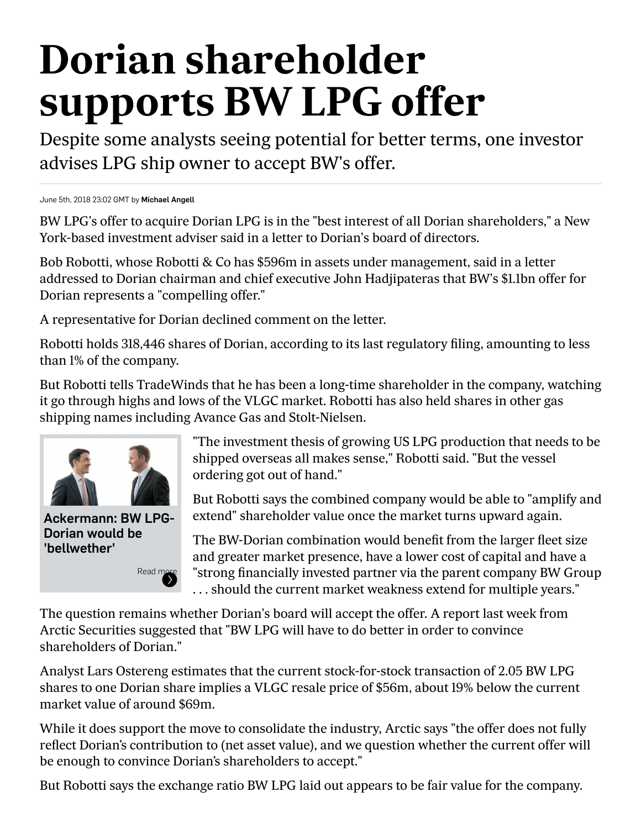## **Dorian shareholder supports BW LPG offer**

Despite some analysts seeing potential for better terms, one investor advises LPG ship owner to accept BW's offer.

June 5th, 2018 23:02 GMT by [Michael Angell](mailto:?subject=Dorian%20shareholder%20supports%20BW%20LPG%20offer)

BW LPG's offer to acquire Dorian LPG is in the "best interest of all Dorian shareholders," a New York-based investment adviser said in a letter to Dorian's board of directors.

Bob Robotti, whose Robotti & Co has \$596m in assets under management, said in a letter addressed to Dorian chairman and chief executive John Hadjipateras that BW's \$1.1bn offer for Dorian represents a "compelling offer."

A representative for Dorian declined comment on the letter.

Robotti holds 318,446 shares of Dorian, according to its last regulatory filing, amounting to less than 1% of the company.

But Robotti tells TradeWinds that he has been a long-time shareholder in the company, watching it go through highs and lows of the VLGC market. Robotti has also held shares in other gas shipping names including Avance Gas and Stolt-Nielsen.



Ackermann: BW LPG-Dorian would be 'bellwether'

[Read more](http://www.tradewindsnews.com/gas/1500972/ackermann-bw-lpg-dorian-would-be-bellwether)

"The investment thesis of growing US LPG production that needs to be shipped overseas all makes sense," Robotti said. "But the vessel ordering got out of hand."

But Robotti says the combined company would be able to "amplify and extend" shareholder value once the market turns upward again.

The BW-Dorian combination would benefit from the larger fleet size and greater market presence, have a lower cost of capital and have a "strong financially invested partner via the parent company BW Group . . . should the current market weakness extend for multiple years."

The question remains whether Dorian's board will accept the offer. A report last week from Arctic Securities suggested that "BW LPG will have to do better in order to convince shareholders of Dorian."

Analyst Lars Ostereng estimates that the current stock-for-stock transaction of 2.05 BW LPG shares to one Dorian share implies a VLGC resale price of \$56m, about 19% below the current market value of around \$69m.

While it does support the move to consolidate the industry, Arctic says "the offer does not fully reflect Dorian's contribution to (net asset value), and we question whether the current offer will be enough to convince Dorian's shareholders to accept."

But Robotti says the exchange ratio BW LPG laid out appears to be fair value for the company.